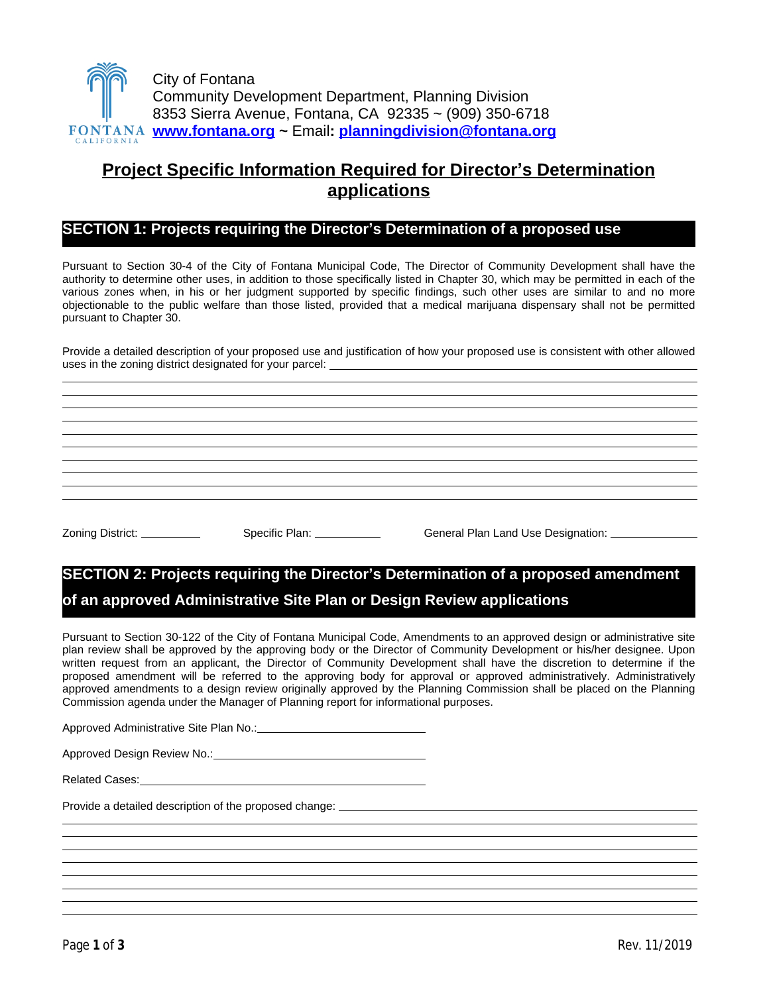

# **[Project Specific Information Required for](mailto:planningdivision@fontana.org) Director'[s Determination](mailto:planningdivision@fontana.org) [applications](mailto:planningdivision@fontana.org)**

# **[SECTION 1: Projects requiring](mailto:planningdivision@fontana.org) [the Director](mailto:planningdivision@fontana.org)'[s Determination of a proposed use](mailto:planningdivision@fontana.org)**

Pursuant to Section 30-4 of the City of Fontana [Municipal](mailto:planningdivision@fontana.org) Code, The Director of [Community](mailto:planningdivision@fontana.org) [Development](mailto:planningdivision@fontana.org) shall have the authority to [determine](mailto:planningdivision@fontana.org) other uses, in addition to those [specifically](mailto:planningdivision@fontana.org) listed in Chapter 30, which may be permitted in each of the various zones when, in his or her judgment [supported](mailto:planningdivision@fontana.org) by specific findings, such other uses are [simil](mailto:planningdivision@fontana.org)ar to and no [more](mailto:planningdivision@fontana.org) [objectionable](mailto:planningdivision@fontana.org) to the public welfare than those listed, provided that a medical marijuana [dispensary](mailto:planningdivision@fontana.org) shall not be permitted [pursuant to Chapter 30.](mailto:planningdivision@fontana.org) 

Provide a [detailed](mailto:planningdivision@fontana.org) description of your proposed use and [justification](mailto:planningdivision@fontana.org) of how [your](mailto:planningdivision@fontana.org) [proposed](mailto:planningdivision@fontana.org) [use](mailto:planningdivision@fontana.org) is [consistent](mailto:planningdivision@fontana.org) with [other](mailto:planningdivision@fontana.org) [allowed](mailto:planningdivision@fontana.org) [uses in the zoning district designated for your parcel:](mailto:planningdivision@fontana.org) 

 $\overline{a}$  $\overline{a}$  $\overline{a}$  $\overline{a}$  $\overline{a}$  $\overline{a}$  $\overline{a}$  $\overline{a}$  $\overline{a}$  $\overline{a}$ 

[Zoning District: Specific Plan: General Plan Land Use Designation:](mailto:planningdivision@fontana.org) 

# **[SECTION 2: Projects requiring the Director](mailto:planningdivision@fontana.org)['](mailto:planningdivision@fontana.org)[s Determination](mailto:planningdivision@fontana.org) [of a proposed amendment](mailto:planningdivision@fontana.org)  [of an approved Administrative Site Plan or Design Review applications](mailto:planningdivision@fontana.org)**

[Pursuant](mailto:planningdivision@fontana.org) to [Section](mailto:planningdivision@fontana.org) 30-122 of the City of Fontana Municipal Code, [Amendments](mailto:planningdivision@fontana.org) to an approved design or [administrative](mailto:planningdivision@fontana.org) site plan review shall be approved by the approving body or the Director of Community [Development](mailto:planningdivision@fontana.org) or his/her designee. Upon written [request](mailto:planningdivision@fontana.org) from an [applicant,](mailto:planningdivision@fontana.org) the Director of Community [Development](mailto:planningdivision@fontana.org) shall have the discretion to [determine](mailto:planningdivision@fontana.org) if the proposed amendment will be referred to the approving body for approval or approved [administratively.](mailto:planningdivision@fontana.org) Administratively approved [amendments](mailto:planningdivision@fontana.org) to a design review originally [approved](mailto:planningdivision@fontana.org) by the Planning [Commission](mailto:planningdivision@fontana.org) shall be placed on the Planni[ng](mailto:planningdivision@fontana.org) [Commission agenda under the Manager of Planning report for informational purposes.](mailto:planningdivision@fontana.org) 

Approved Administrative Site Plan No.:

[Approved Design Review No.:](mailto:planningdivision@fontana.org) Approved Design Review No.:

[Related Cases:](mailto:planningdivision@fontana.org) 

 $\overline{a}$  $\overline{a}$  $\overline{a}$  $\overline{a}$  $\overline{a}$  $\overline{a}$  $\overline{a}$  $\overline{a}$ 

[Provide a detailed description of the proposed change:](mailto:planningdivision@fontana.org) \_\_\_\_\_\_\_\_\_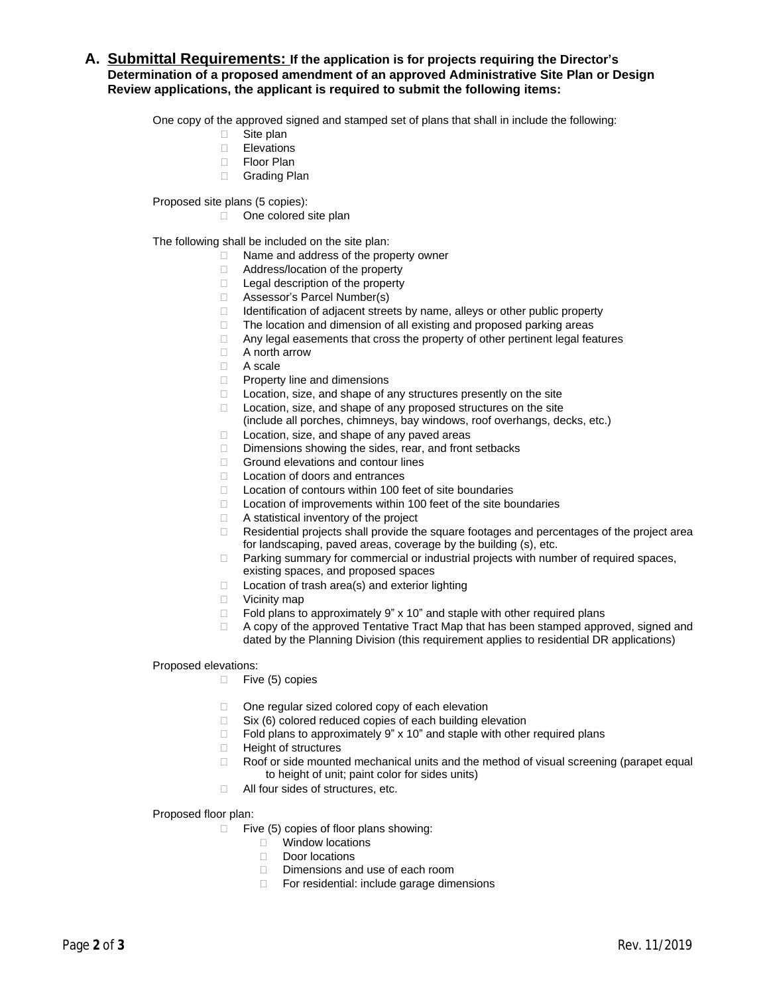# **A. Submittal Requirements: If the application is for projects requiring the Director's Determination of a proposed amendment of an approved Administrative Site Plan or Design Review applications, the applicant is required to submit the following items:**

One copy of the approved signed and stamped set of plans that shall in include the following:

- □ Site plan
- Elevations
- □ Floor Plan
- Grading Plan

Proposed site plans (5 copies):

□ One colored site plan

The following shall be included on the site plan:

- $\Box$  Name and address of the property owner
- □ Address/location of the property
- □ Legal description of the property
- Assessor's Parcel Number(s)
- $\Box$  Identification of adjacent streets by name, alleys or other public property
- $\Box$  The location and dimension of all existing and proposed parking areas
- $\Box$  Any legal easements that cross the property of other pertinent legal features
- A north arrow
- A scale
- □ Property line and dimensions
- $\Box$  Location, size, and shape of any structures presently on the site
- $\Box$  Location, size, and shape of any proposed structures on the site
	- (include all porches, chimneys, bay windows, roof overhangs, decks, etc.)
- □ Location, size, and shape of any paved areas
- Dimensions showing the sides, rear, and front setbacks
- □ Ground elevations and contour lines
- □ Location of doors and entrances
- $\Box$  Location of contours within 100 feet of site boundaries
- $\Box$  Location of improvements within 100 feet of the site boundaries
- A statistical inventory of the project
- Residential projects shall provide the square footages and percentages of the project area for landscaping, paved areas, coverage by the building (s), etc.
- □ Parking summary for commercial or industrial projects with number of required spaces, existing spaces, and proposed spaces
- $\Box$  Location of trash area(s) and exterior lighting
- □ Vicinity map
- $\Box$  Fold plans to approximately 9" x 10" and staple with other required plans
- $\Box$  A copy of the approved Tentative Tract Map that has been stamped approved, signed and dated by the Planning Division (this requirement applies to residential DR applications)

## Proposed elevations:

- $\Box$  Five (5) copies
- $\Box$  One regular sized colored copy of each elevation
- $\Box$  Six (6) colored reduced copies of each building elevation
- $\Box$  Fold plans to approximately 9" x 10" and staple with other required plans
- □ Height of structures
- $\Box$  Roof or side mounted mechanical units and the method of visual screening (parapet equal to height of unit; paint color for sides units)
- □ All four sides of structures, etc.

# Proposed floor plan:

- $\Box$  Five (5) copies of floor plans showing:
	- **Nindow locations**
	- Door locations
	- □ Dimensions and use of each room
	- □ For residential: include garage dimensions